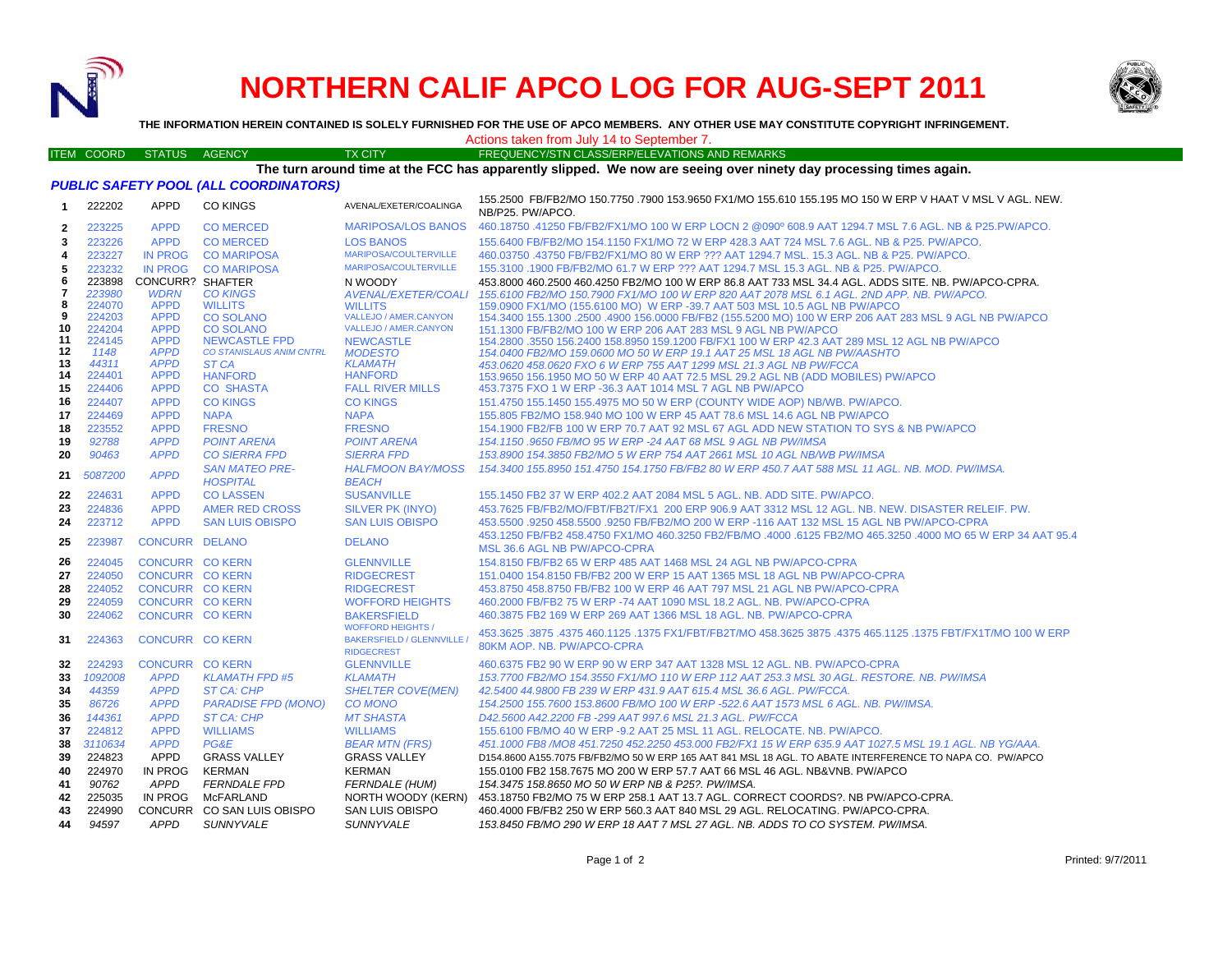

# **NORTHERN CALIF APCO LOG FOR AUG-SEPT 2011**



**THE INFORMATION HEREIN CONTAINED IS SOLELY FURNISHED FOR THE USE OF APCO MEMBERS. ANY OTHER USE MAY CONSTITUTE COPYRIGHT INFRINGEMENT.**

### Actions taken from July 14 to September 7.

#### ITEM COORD STATUS AGENCY TX CITY FREQUENCY/STN CLASS/ERP/ELEVATIONS AND REMARKS **The turn around time at the FCC has apparently slipped. We now are seeing over ninety day processing times again.**

*PUBLIC SAFETY POOL (ALL COORDINATORS)*

| -1           | 222202        | APPD                       | <u>TUBENUM ETTI UUL MEE UUUNDIIMTUINU</u><br><b>CO KINGS</b> | AVENAL/EXETER/COALINGA                                                           | 155.2500 FB/FB2/MO 150.7750 .7900 153.9650 FX1/MO 155.610 155.195 MO 150 W ERP V HAAT V MSL V AGL. NEW.<br>NB/P25. PW/APCO.                    |
|--------------|---------------|----------------------------|--------------------------------------------------------------|----------------------------------------------------------------------------------|------------------------------------------------------------------------------------------------------------------------------------------------|
| $\mathbf{2}$ | 223225        | <b>APPD</b>                | <b>CO MERCED</b>                                             | <b>MARIPOSA/LOS BANOS</b>                                                        | .41250 FB/FB2/FX1/MO 100 W ERP LOCN 2 @090º 608.9 AAT 1294.7 MSL 7.6 AGL. NB & P25.PW/APCO 400.18750                                           |
| 3            | 223226        | <b>APPD</b>                | <b>CO MERCED</b>                                             | <b>LOS BANOS</b>                                                                 | 155.6400 FB/FB2/MO 154.1150 FX1/MO 72 W ERP 428.3 AAT 724 MSL 7.6 AGL. NB & P25. PW/APCO.                                                      |
| 4            | 223227        | <b>IN PROG</b>             | <b>CO MARIPOSA</b>                                           | MARIPOSA/COULTERVILLE                                                            | 460.03750 .43750 FB/FB2/FX1/MO 80 W ERP ??? AAT 1294.7 MSL, 15.3 AGL, NB & P25, PW/APCO,                                                       |
| 5            | 223232        | <b>IN PROG</b>             | <b>CO MARIPOSA</b>                                           | MARIPOSA/COULTERVILLE                                                            | 155.3100 .1900 FB/FB2/MO 61.7 W ERP ??? AAT 1294.7 MSL 15.3 AGL. NB & P25. PW/APCO.                                                            |
| 6            | 223898        | <b>CONCURR? SHAFTER</b>    |                                                              | N WOODY                                                                          | 453.8000 460.2500 460.4250 FB2/MO 100 W ERP 86.8 AAT 733 MSL 34.4 AGL, ADDS SITE, NB, PW/APCO-CPRA,                                            |
| 7            | 223980        | <b>WDRN</b>                | <b>CO KINGS</b>                                              | <b>AVENAL/EXETER/COALI</b>                                                       | 155.6100 FB2/MO 150.7900 FX1/MO 100 W ERP 820 AAT 2078 MSL 6.1 AGL. 2ND APP. NB. PW/APCO.                                                      |
| 8            | 224070        | <b>APPD</b>                | <b>WILLITS</b>                                               | <b>WILLITS</b>                                                                   | 159,0900 FX1/MO (155,6100 MO) W ERP -39.7 AAT 503 MSL 10.5 AGL NB PW/APCO                                                                      |
| 9            | 224203        | <b>APPD</b>                | <b>CO SOLANO</b>                                             | <b>VALLEJO / AMER.CANYON</b>                                                     | 154.3400 155.1300 .2500 .4900 156.0000 FB/FB2 (155.5200 MO) 100 W ERP 206 AAT 283 MSL 9 AGL NB PW/APCO                                         |
| 10           | 224204        | <b>APPD</b>                | <b>CO SOLANO</b>                                             | <b>VALLEJO / AMER.CANYON</b>                                                     | 151.1300 FB/FB2/MO 100 W ERP 206 AAT 283 MSL 9 AGL NB PW/APCO                                                                                  |
| 11<br>12     | 224145        | <b>APPD</b>                | <b>NEWCASTLE FPD</b>                                         | <b>NEWCASTLE</b>                                                                 | 154.2800 .3550 156.2400 158.8950 159.1200 FB/FX1 100 W ERP 42.3 AAT 289 MSL 12 AGL NB PW/APCO                                                  |
| 13           | 1148<br>44311 | <b>APPD</b><br><b>APPD</b> | CO STANISLAUS ANIM CNTRL<br>ST CA                            | <b>MODESTO</b><br><b>KLAMATH</b>                                                 | 154.0400 FB2/MO 159.0600 MO 50 W ERP 19.1 AAT 25 MSL 18 AGL NB PW/AASHTO<br>453.0620 458.0620 FXO 6 W ERP 755 AAT 1299 MSL 21.3 AGL NB PW/FCCA |
| 14           | 224401        | <b>APPD</b>                | <b>HANFORD</b>                                               | <b>HANFORD</b>                                                                   | 153,9650 156,1950 MO 50 W ERP 40 AAT 72.5 MSL 29.2 AGL NB (ADD MOBILES) PW/APCO                                                                |
| 15           | 224406        | <b>APPD</b>                | <b>CO SHASTA</b>                                             | <b>FALL RIVER MILLS</b>                                                          | 453.7375 FXO 1 W ERP -36.3 AAT 1014 MSL 7 AGL NB PW/APCO                                                                                       |
| 16           | 224407        | <b>APPD</b>                | <b>CO KINGS</b>                                              | <b>CO KINGS</b>                                                                  | 151.4750 155.1450 155.4975 MO 50 W ERP (COUNTY WIDE AOP) NB/WB. PW/APCO.                                                                       |
| 17           | 224469        | <b>APPD</b>                | <b>NAPA</b>                                                  | <b>NAPA</b>                                                                      | 155,805 FB2/MO 158,940 MO 100 W ERP 45 AAT 78.6 MSL 14.6 AGL NB PW/APCO                                                                        |
| 18           | 223552        | <b>APPD</b>                | <b>FRESNO</b>                                                | <b>FRESNO</b>                                                                    | 154.1900 FB2/FB 100 W ERP 70.7 AAT 92 MSL 67 AGL ADD NEW STATION TO SYS & NB PW/APCO                                                           |
| 19           | 92788         | <b>APPD</b>                | <b>POINT ARENA</b>                                           | <b>POINT ARENA</b>                                                               | 154.1150.9650 FB/MO 95 W ERP -24 AAT 68 MSL 9 AGL NB PW/IMSA                                                                                   |
| 20           | 90463         | <b>APPD</b>                | <b>CO SIERRA FPD</b>                                         | <b>SIERRA FPD</b>                                                                | 153.8900 154.3850 FB2/MO 5 W ERP 754 AAT 2661 MSL 10 AGL NB/WB PW/IMSA                                                                         |
|              |               |                            | <b>SAN MATEO PRE-</b>                                        | <b>HALFMOON BAY/MOSS</b>                                                         | 154.3400 155.8950 151.4750 154.1750 FB/FB2 80 W ERP 450.7 AAT 588 MSL 11 AGL, NB, MOD, PW/IMSA.                                                |
| 21           | 5087200       | <b>APPD</b>                | <b>HOSPITAL</b>                                              | <b>BEACH</b>                                                                     |                                                                                                                                                |
| 22           | 224631        | <b>APPD</b>                | <b>CO LASSEN</b>                                             | <b>SUSANVILLE</b>                                                                | 155.1450 FB2 37 W ERP 402.2 AAT 2084 MSL 5 AGL, NB, ADD SITE, PW/APCO,                                                                         |
| 23           | 224836        | <b>APPD</b>                | <b>AMER RED CROSS</b>                                        | <b>SILVER PK (INYO)</b>                                                          | 453.7625 FB/FB2/MO/FBT/FB2T/FX1 200 ERP 906.9 AAT 3312 MSL 12 AGL. NB. NEW. DISASTER RELEIF. PW.                                               |
| 24           | 223712        | <b>APPD</b>                | <b>SAN LUIS OBISPO</b>                                       | <b>SAN LUIS OBISPO</b>                                                           | 453,5500 .9250 458,5500 .9250 FB/FB2/MO 200 W ERP -116 AAT 132 MSL 15 AGL NB PW/APCO-CPRA                                                      |
|              |               |                            |                                                              |                                                                                  | 453.1250 FB/FB2 458.4750 FX1/MO 460.3250 FB2/FB/MO .4000 .6125 FB2/MO 465.3250 .4000 MO 65 W ERP 34 AAT 95.4                                   |
| 25           | 223987        | <b>CONCURR DELANO</b>      |                                                              | <b>DELANO</b>                                                                    | MSL 36.6 AGL NB PW/APCO-CPRA                                                                                                                   |
| 26           | 224045        | <b>CONCURR CO KERN</b>     |                                                              | <b>GLENNVILLE</b>                                                                | 154.8150 FB/FB2 65 W ERP 485 AAT 1468 MSL 24 AGL NB PW/APCO-CPRA                                                                               |
| 27           | 224050        | <b>CONCURR CO KERN</b>     |                                                              | <b>RIDGECREST</b>                                                                | 151,0400 154,8150 FB/FB2 200 W ERP 15 AAT 1365 MSL 18 AGL NB PW/APCO-CPRA                                                                      |
| 28           | 224052        | <b>CONCURR CO KERN</b>     |                                                              | <b>RIDGECREST</b>                                                                | 453.8750 458.8750 FB/FB2 100 W ERP 46 AAT 797 MSL 21 AGL NB PW/APCO-CPRA                                                                       |
| 29           | 224059        | <b>CONCURR CO KERN</b>     |                                                              | <b>WOFFORD HEIGHTS</b>                                                           | 460,2000 FB/FB2 75 W ERP -74 AAT 1090 MSL 18.2 AGL, NB, PW/APCO-CPRA                                                                           |
| 30           | 224062        | <b>CONCURR CO KERN</b>     |                                                              | <b>BAKERSFIELD</b>                                                               | 460.3875 FB2 169 W ERP 269 AAT 1366 MSL 18 AGL. NB. PW/APCO-CPRA                                                                               |
| 31           | 224363        | <b>CONCURR CO KERN</b>     |                                                              | <b>WOFFORD HEIGHTS /</b><br><b>BAKERSFIELD / GLENNVILLE</b><br><b>RIDGECREST</b> | 453.3625 .3875 .4375 460.1125 .1375 FX1/FBT/FB2T/MO 458.3625 3875 .4375 465.1125 .1375 FBT/FX1T/MO 100 W ERP<br>80KM AOP. NB. PW/APCO-CPRA     |
| 32           | 224293        | <b>CONCURR CO KERN</b>     |                                                              | <b>GLENNVILLE</b>                                                                | 460.6375 FB2 90 W ERP 90 W ERP 347 AAT 1328 MSL 12 AGL. NB. PW/APCO-CPRA                                                                       |
| 33           | 1092008       | <b>APPD</b>                | <b>KLAMATH FPD #5</b>                                        | <b>KLAMATH</b>                                                                   | 153.7700 FB2/MO 154.3550 FX1/MO 110 W ERP 112 AAT 253.3 MSL 30 AGL, RESTORE, NB, PW/IMSA                                                       |
| 34           | 44359         | <b>APPD</b>                | ST CA: CHP                                                   | <b>SHELTER COVE(MEN)</b>                                                         | 42.5400 44.9800 FB 239 W ERP 431.9 AAT 615.4 MSL 36.6 AGL, PW/FCCA.                                                                            |
| 35           | 86726         | <b>APPD</b>                | <b>PARADISE FPD (MONO)</b>                                   | <b>CO MONO</b>                                                                   | 154.2500 155.7600 153.8600 FB/MO 100 W ERP -522.6 AAT 1573 MSL 6 AGL. NB. PW/IMSA.                                                             |
| 36           | 144361        | <b>APPD</b>                | ST CA: CHP                                                   | <b>MT SHASTA</b>                                                                 | D42.5600 A42.2200 FB -299 AAT 997.6 MSL 21.3 AGL, PW/FCCA                                                                                      |
| 37           | 224812        | <b>APPD</b>                | <b>WILLIAMS</b>                                              | <b>WILLIAMS</b>                                                                  | 155.6100 FB/MO 40 W ERP -9.2 AAT 25 MSL 11 AGL. RELOCATE. NB. PW/APCO.                                                                         |
| 38           | 3110634       | <b>APPD</b>                | PG&E                                                         | <b>BEAR MTN (FRS)</b>                                                            | 451.1000 FB8 /MO8 451.7250 452.2250 453.000 FB2/FX1 15 W ERP 635.9 AAT 1027.5 MSL 19.1 AGL. NB YG/AAA.                                         |
| 39           | 224823        | <b>APPD</b>                | <b>GRASS VALLEY</b>                                          | <b>GRASS VALLEY</b>                                                              | D154.8600 A155.7075 FB/FB2/MO 50 W ERP 165 AAT 841 MSL 18 AGL. TO ABATE INTERFERENCE TO NAPA CO. PW/APCO                                       |
| 40           | 224970        | <b>IN PROG</b>             | <b>KERMAN</b>                                                | <b>KERMAN</b>                                                                    | 155.0100 FB2 158.7675 MO 200 W ERP 57.7 AAT 66 MSL 46 AGL. NB&VNB. PW/APCO                                                                     |
| 41           | 90762         | <b>APPD</b>                | <b>FERNDALE FPD</b>                                          | <b>FERNDALE (HUM)</b>                                                            | 154.3475 158.8650 MO 50 W ERP NB & P25?. PW/IMSA.                                                                                              |
| 42           | 225035        | IN PROG                    | McFARLAND                                                    | NORTH WOODY (KERN)                                                               | 453.18750 FB2/MO 75 W ERP 258.1 AAT 13.7 AGL. CORRECT COORDS?. NB PW/APCO-CPRA.                                                                |
| 43           | 224990        |                            | CONCURR CO SAN LUIS OBISPO                                   | SAN LUIS OBISPO                                                                  | 460.4000 FB/FB2 250 W ERP 560.3 AAT 840 MSL 29 AGL. RELOCATING. PW/APCO-CPRA.                                                                  |
| 44           | 94597         | <b>APPD</b>                | <b>SUNNYVALE</b>                                             | SUNNYVALE                                                                        | 153.8450 FB/MO 290 W ERP 18 AAT 7 MSL 27 AGL. NB. ADDS TO CO SYSTEM. PW/IMSA.                                                                  |